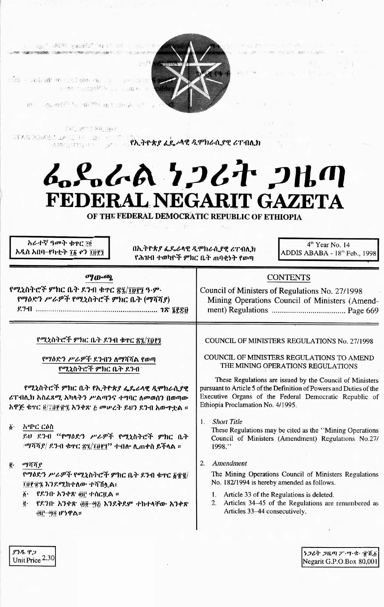

age" -8691 vasado" "H et de - et l'E

Sale and adjust to statute and the sport in use a star i mante la california de

By mondally share and dealer it

TAC MOTOR BIX

**TARDOME LAND IS IN STRAP AS AS AR SPINALER CTAIN** 

# んぺんへん ケンムヤ クルの FEDERAL NEGARIT GAZETA

OF THE FEDERAL DEMOCRATIC REPUBLIC OF ETHIOPIA

አራተኛ ዓመት ቁዋር 70 አዲስ አበባ–የካቲት ፻፩ ዯን ፲፱፻፺

በኢትዮጵያ ፌዴራላዊ ዲሞክራሲያዊ ሪፐብሊክ የሕዝብ ተወካዮች ምክር ቤት ጠባቀኑት የወጣ

4<sup>th</sup> Year No. 14 ADDIS ABABA - 18th Feb., 1998

大きくように

## ማውጫ

የሚኒስትሮች ምክር ቤት ደንብ ቁጥር ጽ፯/፲፱፻፺ ዓ.ም. የማዕድን ሥራዎች የሚኒስትሮች ምክር ቤት (ማሻሻያ) 

## Council of Ministers of Regulations No. 27/1998 Mining Operations Council of Ministers (Amend-

**CONTENTS** 

የሚኒስትሮች ምክር ቤት ደንብ ቁተር ጽ፯/፲፬፻፺

የማዕድን ሥራዎች ደንብን ለማሻሻል የወጣ የሚኒስትሮች ምክር ቤት ደንብ

የሚኒስትሮች ምክር ቤት የኢትዮጵያ ፌዴራላዊ ዲሞክራሲያዊ ሪፐብሊክ አስፈጻሚ አካላትን ሥልጣንና ተግባር ለመወሰን በወጣው አዋጅ ቁዋር ፬/፲፱፻፹፯ አንቀጽ ጅ መሠረት ይህን ደንብ አውዋቷል ፡፡

ö٠ አጭር ርዕስ

> ይህ ደንብ "የማዕድን ሥራዎች የሚኒስትሮች ምክር ቤት /ማሻሻያ/ ደንብ ቁዋር ጽ፯/፲፱፻፺" ተብሎ ሊጠቀስ ይችላል ።

#### ğ. ማሻሻያ

ደንዱ ዋጋ

Unit Price 2.30

የማዕድን ሥራዎች የሚኒስትሮች ምክር ቤት ደንብ ቁዋር ፩፹፪/ ፲፱፻፹፯ እንደሚከተለው ተሻሽሏል፣

- ፩• የዶንቡ አንቀጽ ፴፫ ተሰርቧል ፡፡
- የደንበ አንቀጽ ፴፬–፵፩ እንደቅደም ተከተላቸው አንቀጽ ġ. @ij-00 ሆነዋል።

**COUNCIL OF MINISTERS REGULATIONS No. 27/1998** 

COUNCIL OF MINISTERS REGULATIONS TO AMEND THE MINING OPERATIONS REGULATIONS

These Regulations are issued by the Council of Ministers pursuant to Article 5 of the Definition of Powers and Duties of the Executive Organs of the Federal Democratic Republic of Ethiopia Proclamation No. 4/1995.

1. Short Title

These Regulations may be cited as the "Mining Operations" Council of Ministers (Amendment) Regulations No.27/ 1998."

2. Amendment

The Mining Operations Council of Ministers Regulations No. 182/1994 is hereby amended as follows.

- 1. Article 33 of the Regulations is deleted.
- 2. Articles 34–45 of the Regulations are renumbered as Articles 33-44 consecutively.

うつるそ つルの ク・ツ・セー 電道義 Negarit G.P.O.Box 80,001